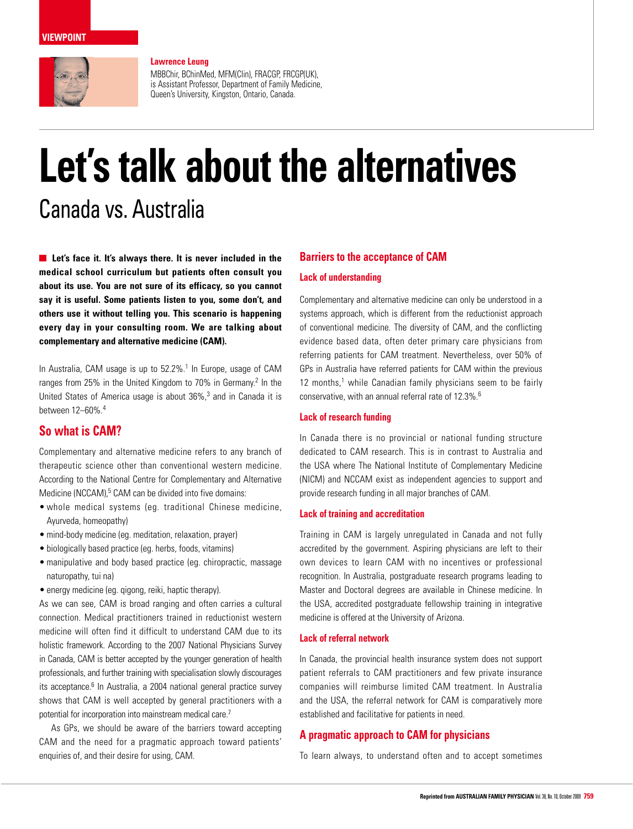#### **viewpoint**



MBBChir, BChinMed, MFM(Clin), FRACGP, FRCGP(UK), is Assistant Professor, Department of Family Medicine, Queen's University, Kingston, Ontario, Canada.

# **Let's talk about the alternatives** Canada vs. Australia

**Let's face it. It's always there. It is never included in the medical school curriculum but patients often consult you about its use. You are not sure of its efficacy, so you cannot say it is useful. Some patients listen to you, some don't, and others use it without telling you. This scenario is happening every day in your consulting room. We are talking about complementary and alternative medicine (CAM).**

In Australia, CAM usage is up to 52.2%.<sup>1</sup> In Europe, usage of CAM ranges from 25% in the United Kingdom to 70% in Germany.<sup>2</sup> In the United States of America usage is about 36%,<sup>3</sup> and in Canada it is between 12–60%.4

## **So what is CAM?**

Complementary and alternative medicine refers to any branch of therapeutic science other than conventional western medicine. According to the National Centre for Complementary and Alternative Medicine (NCCAM),<sup>5</sup> CAM can be divided into five domains:

- • whole medical systems (eg. traditional Chinese medicine, Ayurveda, homeopathy)
- mind-body medicine (eq. meditation, relaxation, prayer)
- • biologically based practice (eg. herbs, foods, vitamins)
- manipulative and body based practice (eg. chiropractic, massage naturopathy, tui na)
- energy medicine (eg. qigong, reiki, haptic therapy).

As we can see, CAM is broad ranging and often carries a cultural connection. Medical practitioners trained in reductionist western medicine will often find it difficult to understand CAM due to its holistic framework. According to the 2007 National Physicians Survey in Canada, CAM is better accepted by the younger generation of health professionals, and further training with specialisation slowly discourages its acceptance.<sup>6</sup> In Australia, a 2004 national general practice survey shows that CAM is well accepted by general practitioners with a potential for incorporation into mainstream medical care.7

As GPs, we should be aware of the barriers toward accepting CAM and the need for a pragmatic approach toward patients' enquiries of, and their desire for using, CAM.

#### **Barriers to the acceptance of CAM**

#### **Lack of understanding**

Complementary and alternative medicine can only be understood in a systems approach, which is different from the reductionist approach of conventional medicine. The diversity of CAM, and the conflicting evidence based data, often deter primary care physicians from referring patients for CAM treatment. Nevertheless, over 50% of GPs in Australia have referred patients for CAM within the previous 12 months,<sup>1</sup> while Canadian family physicians seem to be fairly conservative, with an annual referral rate of 12.3%.<sup>6</sup>

#### **Lack of research funding**

In Canada there is no provincial or national funding structure dedicated to CAM research. This is in contrast to Australia and the USA where The National Institute of Complementary Medicine (NICM) and NCCAM exist as independent agencies to support and provide research funding in all major branches of CAM.

#### **Lack of training and accreditation**

Training in CAM is largely unregulated in Canada and not fully accredited by the government. Aspiring physicians are left to their own devices to learn CAM with no incentives or professional recognition. In Australia, postgraduate research programs leading to Master and Doctoral degrees are available in Chinese medicine. In the USA, accredited postgraduate fellowship training in integrative medicine is offered at the University of Arizona.

#### **Lack of referral network**

In Canada, the provincial health insurance system does not support patient referrals to CAM practitioners and few private insurance companies will reimburse limited CAM treatment. In Australia and the USA, the referral network for CAM is comparatively more established and facilitative for patients in need.

### **A pragmatic approach to CAM for physicians**

To learn always, to understand often and to accept sometimes